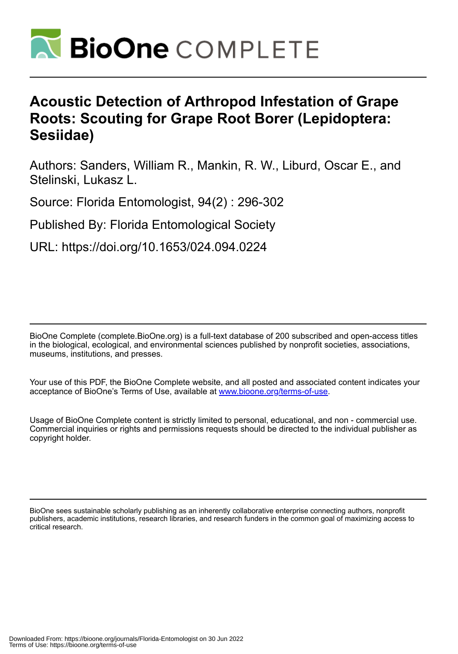

# **Acoustic Detection of Arthropod Infestation of Grape Roots: Scouting for Grape Root Borer (Lepidoptera: Sesiidae)**

Authors: Sanders, William R., Mankin, R. W., Liburd, Oscar E., and Stelinski, Lukasz L.

Source: Florida Entomologist, 94(2) : 296-302

Published By: Florida Entomological Society

URL: https://doi.org/10.1653/024.094.0224

BioOne Complete (complete.BioOne.org) is a full-text database of 200 subscribed and open-access titles in the biological, ecological, and environmental sciences published by nonprofit societies, associations, museums, institutions, and presses.

Your use of this PDF, the BioOne Complete website, and all posted and associated content indicates your acceptance of BioOne's Terms of Use, available at www.bioone.org/terms-of-use.

Usage of BioOne Complete content is strictly limited to personal, educational, and non - commercial use. Commercial inquiries or rights and permissions requests should be directed to the individual publisher as copyright holder.

BioOne sees sustainable scholarly publishing as an inherently collaborative enterprise connecting authors, nonprofit publishers, academic institutions, research libraries, and research funders in the common goal of maximizing access to critical research.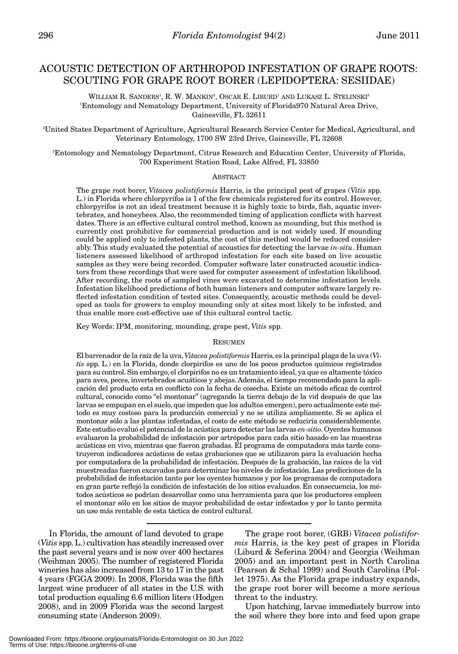# ACOUSTIC DETECTION OF ARTHROPOD INFESTATION OF GRAPE ROOTS: SCOUTING FOR GRAPE ROOT BORER (LEPIDOPTERA: SESIIDAE)

WILLIAM R. SANDERS<sup>1</sup>, R. W. MANKIN<sup>2</sup>, OSCAR E. LIBURD<sup>1</sup> AND LUKASZ L. STELINSKI<sup>3</sup> 1 Entomology and Nematology Department, University of Florida970 Natural Area Drive, Gainesville, FL 32611

2 United States Department of Agriculture, Agricultural Research Service Center for Medical, Agricultural, and Veterinary Entomology, 1700 SW 23rd Drive, Gainesville, FL 32608

3 Entomology and Nematology Department, Citrus Research and Education Center, University of Florida, 700 Experiment Station Road, Lake Alfred, FL 33850

#### **ABSTRACT**

The grape root borer, *Vitacea polistiformis* Harris, is the principal pest of grapes (*Vitis* spp. L.) in Florida where chlorpyrifos is 1 of the few chemicals registered for its control. However, chlorpyrifos is not an ideal treatment because it is highly toxic to birds, fish, aquatic invertebrates, and honeybees. Also, the recommended timing of application conflicts with harvest dates. There is an effective cultural control method, known as mounding, but this method is currently cost prohibitive for commercial production and is not widely used. If mounding could be applied only to infested plants, the cost of this method would be reduced considerably. This study evaluated the potential of acoustics for detecting the larvae *in-situ*. Human listeners assessed likelihood of arthropod infestation for each site based on live acoustic samples as they were being recorded. Computer software later constructed acoustic indicators from these recordings that were used for computer assessment of infestation likelihood. After recording, the roots of sampled vines were excavated to determine infestation levels. Infestation likelihood predictions of both human listeners and computer software largely reflected infestation condition of tested sites. Consequently, acoustic methods could be developed as tools for growers to employ mounding only at sites most likely to be infested, and thus enable more cost-effective use of this cultural control tactic.

Key Words: IPM, monitoring, mounding, grape pest, *Vitis* spp.

#### **RESUMEN**

El barrenador de la raíz de la uva, *Vitacea polistiformis* Harris, es la principal plaga de la uva (*Vitis* spp. L.) en la Florida, donde clorpirifos es uno de los pocos productos químicos registrados para su control. Sin embargo, el clorpirifos no es un tratamiento ideal, ya que es altamente tóxico para aves, peces, invertebrados acuáticos y abejas. Además, el tiempo recomendado para la aplicación del producto esta en conflicto con la fecha de cosecha. Existe un método eficaz de control cultural, conocido como "el montonar" (agregando la tierra debajo de la vid después de que las larvas se empupan en el suelo, que impeden que los adultos emergen), pero actualmente este método es muy costoso para la producción comercial y no se utiliza ampliamente. Si se aplica el montonar sólo a las plantas infestadas, el costo de este método se reduciría considerablemente. Este estudio evaluó el potencial de la acústica para detectar las larvas *en-sitio*. Oyentes humanos evaluaron la probabilidad de infestación por artrópodos para cada sitio basado en las muestras acústicas en vivo, mientras que fueron grabadas. El programa de computadora más tarde construyeron indicadores acústicos de estas grabaciones que se utilizaron para la evaluación hecha por computadora de la probabilidad de infestación. Después de la grabación, las raíces de la vid muestreadas fueron excavados para determinar los niveles de infestación. Las predicciones de la probabilidad de infestación tanto por los oyentes humanos y por los programas de computadora en gran parte reflejó la condición de infestación de los sitios evaluados. En consecuencia, los métodos acústicos se podrían desarrollar como una herramienta para que los productores empleen el montonar sólo en los sitios de mayor probabilidad de estar infestados y por lo tanto permita un uso más rentable de esta táctica de control cultural.

In Florida, the amount of land devoted to grape (*Vitis* spp. L.) cultivation has steadily increased over the past several years and is now over 400 hectares (Weihman 2005). The number of registered Florida wineries has also increased from 13 to 17 in the past 4 years (FGGA 2009). In 2008, Florida was the fifth largest wine producer of all states in the U.S. with total production equaling 6.6 million liters (Hodgen 2008), and in 2009 Florida was the second largest consuming state (Anderson 2009).

The grape root borer, (GRB) *Vitacea polistiformis* Harris, is the key pest of grapes in Florida (Liburd & Seferina 2004) and Georgia (Weihman 2005) and an important pest in North Carolina (Pearson & Schal 1999) and South Carolina (Pollet 1975). As the Florida grape industry expands, the grape root borer will become a more serious threat to the industry.

Upon hatching, larvae immediately burrow into the soil where they bore into and feed upon grape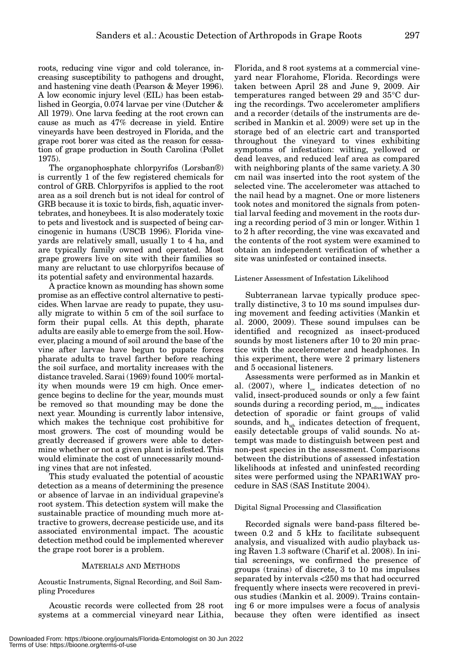roots, reducing vine vigor and cold tolerance, increasing susceptibility to pathogens and drought, and hastening vine death (Pearson & Meyer 1996). A low economic injury level (EIL) has been established in Georgia, 0.074 larvae per vine (Dutcher & All 1979). One larva feeding at the root crown can cause as much as 47% decrease in yield. Entire vineyards have been destroyed in Florida, and the grape root borer was cited as the reason for cessation of grape production in South Carolina (Pollet 1975).

The organophosphate chlorpyrifos (Lorsban®) is currently 1 of the few registered chemicals for control of GRB. Chlorpyrifos is applied to the root area as a soil drench but is not ideal for control of GRB because it is toxic to birds, fish, aquatic invertebrates, and honeybees. It is also moderately toxic to pets and livestock and is suspected of being carcinogenic in humans (USCB 1996). Florida vineyards are relatively small, usually 1 to 4 ha, and are typically family owned and operated. Most grape growers live on site with their families so many are reluctant to use chlorpyrifos because of its potential safety and environmental hazards.

A practice known as mounding has shown some promise as an effective control alternative to pesticides. When larvae are ready to pupate, they usually migrate to within 5 cm of the soil surface to form their pupal cells. At this depth, pharate adults are easily able to emerge from the soil. However, placing a mound of soil around the base of the vine after larvae have begun to pupate forces pharate adults to travel farther before reaching the soil surface, and mortality increases with the distance traveled. Sarai (1969) found 100% mortality when mounds were 19 cm high. Once emergence begins to decline for the year, mounds must be removed so that mounding may be done the next year. Mounding is currently labor intensive, which makes the technique cost prohibitive for most growers. The cost of mounding would be greatly decreased if growers were able to determine whether or not a given plant is infested. This would eliminate the cost of unnecessarily mounding vines that are not infested.

This study evaluated the potential of acoustic detection as a means of determining the presence or absence of larvae in an individual grapevine's root system. This detection system will make the sustainable practice of mounding much more attractive to growers, decrease pesticide use, and its associated environmental impact. The acoustic detection method could be implemented wherever the grape root borer is a problem.

# MATERIALS AND METHODS

Acoustic Instruments, Signal Recording, and Soil Sampling Procedures

Acoustic records were collected from 28 root systems at a commercial vineyard near Lithia, Florida, and 8 root systems at a commercial vineyard near Florahome, Florida. Recordings were taken between April 28 and June 9, 2009. Air temperatures ranged between 29 and 35°C during the recordings. Two accelerometer amplifiers and a recorder (details of the instruments are described in Mankin et al. 2009) were set up in the storage bed of an electric cart and transported throughout the vineyard to vines exhibiting symptoms of infestation: wilting, yellowed or dead leaves, and reduced leaf area as compared with neighboring plants of the same variety. A 30 cm nail was inserted into the root system of the selected vine. The accelerometer was attached to the nail head by a magnet. One or more listeners took notes and monitored the signals from potential larval feeding and movement in the roots during a recording period of 3 min or longer. Within 1 to 2 h after recording, the vine was excavated and the contents of the root system were examined to obtain an independent verification of whether a site was uninfested or contained insects.

# Listener Assessment of Infestation Likelihood

Subterranean larvae typically produce spectrally distinctive, 3 to 10 ms sound impulses during movement and feeding activities (Mankin et al. 2000, 2009). These sound impulses can be identified and recognized as insect-produced sounds by most listeners after 10 to 20 min practice with the accelerometer and headphones. In this experiment, there were 2 primary listeners and 5 occasional listeners.

Assessments were performed as in Mankin et al. (2007), where  $l_{ow}$  indicates detection of no valid, insect-produced sounds or only a few faint sounds during a recording period,  $m_{\text{edium}}$  indicates detection of sporadic or faint groups of valid sounds, and  $h_{\text{igh}}$  indicates detection of frequent, easily detectable groups of valid sounds. No attempt was made to distinguish between pest and non-pest species in the assessment. Comparisons between the distributions of assessed infestation likelihoods at infested and uninfested recording sites were performed using the NPAR1WAY procedure in SAS (SAS Institute 2004).

#### Digital Signal Processing and Classification

Recorded signals were band-pass filtered between 0.2 and 5 kHz to facilitate subsequent analysis, and visualized with audio playback using Raven 1.3 software (Charif et al. 2008). In initial screenings, we confirmed the presence of groups (trains) of discrete, 3 to 10 ms impulses separated by intervals <250 ms that had occurred frequently where insects were recovered in previous studies (Mankin et al. 2009). Trains containing 6 or more impulses were a focus of analysis because they often were identified as insect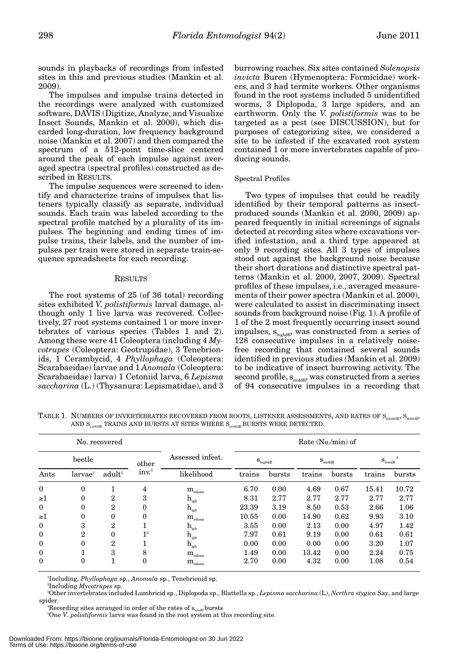sounds in playbacks of recordings from infested sites in this and previous studies (Mankin et al. 2009).

The impulses and impulse trains detected in the recordings were analyzed with customized software, DAVIS (Digitize, Analyze, and Visualize Insect Sounds, Mankin et al. 2000), which discarded long-duration, low frequency background noise (Mankin et al. 2007) and then compared the spectrum of a 512-point time-slice centered around the peak of each impulse against averaged spectra (spectral profiles) constructed as described in RESULTS.

The impulse sequences were screened to identify and characterize trains of impulses that listeners typically classify as separate, individual sounds. Each train was labeled according to the spectral profile matched by a plurality of its impulses. The beginning and ending times of impulse trains, their labels, and the number of impulses per train were stored in separate train-sequence spreadsheets for each recording.

#### **RESULTS**

The root systems of 25 (of 36 total) recording sites exhibited *V. polistiformis* larval damage, although only 1 live larva was recovered. Collectively, 27 root systems contained 1 or more invertebrates of various species (Tables 1 and 2). Among these were 41 Coleoptera (including 4 *Mycotrupes* (Coleoptera: Geotrupidae), 3 Tenebrionids, 1 Cerambycid, 4 *Phyllophaga* (Coleoptera: Scarabaeidae) larvae and 1 *Anomala* (Coleoptera: Scarabaeidae) larva) 1 Cetoniid larva, 6 *Lepisma saccharina* (L.) (Thysanura: Lepismatidae), and 3 burrowing roaches. Six sites contained *Solenopsis invicta* Buren (Hymenoptera: Formicidae) workers, and 3 had termite workers. Other organisms found in the root systems included 5 unidentified worms, 3 Diplopoda, 3 large spiders, and an earthworm. Only the *V. polistiformis* was to be targeted as a pest (see DISCUSSION), but for purposes of categorizing sites, we considered a site to be infested if the excavated root system contained 1 or more invertebrates capable of producing sounds.

# Spectral Profiles

Two types of impulses that could be readily identified by their temporal patterns as insectproduced sounds (Mankin et al. 2000, 2009) appeared frequently in initial screenings of signals detected at recording sites where excavations verified infestation, and a third type appeared at only 9 recording sites. All 3 types of impulses stood out against the background noise because their short durations and distinctive spectral patterns (Mankin et al. 2000, 2007, 2009). Spectral profiles of these impulses, i.e., averaged measurements of their power spectra (Mankin et al. 2000), were calculated to assist in discriminating insect sounds from background noise (Fig. 1). A profile of 1 of the 2 most frequently occurring insect sound impulses,  $s_{\text{highdB}}$ , was constructed from a series of 128 consecutive impulses in a relatively noisefree recording that contained several sounds identified in previous studies (Mankin et al. 2009) to be indicative of insect burrowing activity. The second profile,  $s_{\text{middle}}$ , was constructed from a series of 94 consecutive impulses in a recording that

TABLE 1. NUMBERS OF INVERTEBRATES RECOVERED FROM ROOTS, LISTENER ASSESSMENTS, AND RATES OF S<sub>HIGHDB</sub>, S<sub>MIDDB</sub>, AND  $S_{\text{LownB}}$  TRAINS AND BURSTS AT SITES WHERE  $S_{\text{LownB}}$  BURSTS WERE DETECTED.

| No. recovered |                     |                    |                  | Rate (No./min) of                  |        |                     |        |                    |        |        |
|---------------|---------------------|--------------------|------------------|------------------------------------|--------|---------------------|--------|--------------------|--------|--------|
| beetle        |                     | other              | Assessed infest. | $\mathbf{S}_\text{highdB}$         |        | $S_{\text{middle}}$ |        | S <sub>lowdB</sub> |        |        |
| Ants          | larvae <sup>1</sup> | adult <sup>2</sup> | $inv^3$          | likelihood                         | trains | bursts              | trains | bursts             | trains | bursts |
| $\mathbf{0}$  | 0                   |                    | 4                | $m_{\text{edium}}$                 | 6.70   | 0.00                | 4.69   | 0.67               | 15.41  | 10.72  |
| $\geq$ 1      | $\theta$            | $\overline{2}$     | 3                | $\mathbf{h}_{_{\mathrm{igh}}}$     | 8.31   | 2.77                | 2.77   | 2.77               | 2.77   | 2.77   |
| $\mathbf{0}$  | $\theta$            | $\overline{2}$     | $\Omega$         | $\mathbf{h}_{\text{igh}}$          | 23.39  | 3.19                | 8.50   | 0.53               | 2.66   | 1.06   |
| $\geq$ 1      | $\theta$            | $\mathbf{0}$       | $\theta$         | $\mathbf{m}_{\text{\tiny{edium}}}$ | 10.55  | 0.00                | 14.90  | 0.62               | 9.93   | 3.10   |
| $\mathbf{0}$  | 3                   | $\overline{2}$     |                  | $\mathbf{h}_{_{\mathrm{igh}}}$     | 3.55   | 0.00                | 2.13   | 0.00               | 4.97   | 1.42   |
| $\mathbf{0}$  | $\overline{2}$      | $\mathbf{0}$       | 1 <sup>5</sup>   | $\mathbf{h}_{\text{igh}}$          | 7.97   | 0.61                | 9.19   | 0.00               | 0.61   | 0.61   |
| $\mathbf{0}$  | $\theta$            | $\mathbf{2}$       |                  | $\mathbf{h}_{\text{igh}}$          | 0.00   | 0.00                | 0.00   | 0.00               | 3.20   | 1.07   |
| $\mathbf{0}$  |                     | 3                  | 8                | $\mathbf{m}_{\text{\tiny{edium}}}$ | 1.49   | 0.00                | 13.42  | 0.00               | 2.24   | 0.75   |
| $\mathbf{0}$  | $\theta$            |                    | $\theta$         | $\rm m_{_{edium}}$                 | 2.70   | 0.00                | 4.32   | 0.00               | 1.08   | 0.54   |

1 Including, *Phyllophaga* sp., *Anomala* sp., Tenebrionid sp.

2 Including *Mycotrupes* sp.

3 Other invertebrates included Lumbricid sp., Diplopoda sp., Blattella sp., *Lepisma saccharina* (L), *Nerthra stygica* Say, and large spider.

 ${}^{4}$ Recording sites arranged in order of the rates of  $s_{\text{lowdB}}$  bursts  ${}^{5}$ One *V*, politiformic large was found in the root system at t

<sup>5</sup>One *V. polistiformis* larva was found in the root system at this recording site.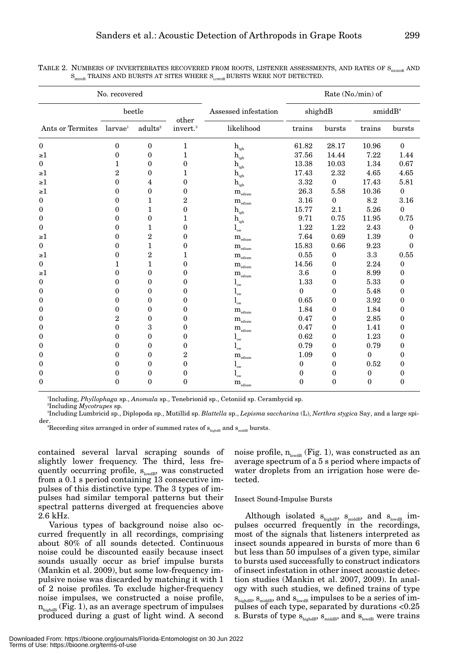|                  | No. recovered       |                     |                               |                                              |          |         | Rate (No./min) of |                  |
|------------------|---------------------|---------------------|-------------------------------|----------------------------------------------|----------|---------|-------------------|------------------|
|                  |                     | beetle              |                               | Assessed infestation                         |          | shighdB |                   | $s$ midd $B4$    |
| Ants or Termites | larvae <sup>1</sup> | adults <sup>2</sup> | other<br>invert. <sup>3</sup> | likelihood                                   | trains   | bursts  | trains            | bursts           |
| $\boldsymbol{0}$ | $\Omega$            | $\mathbf{0}$        | 1                             | $\mathbf{h}_{\mathrm{igh}}$                  | 61.82    | 28.17   | 10.96             | $\theta$         |
| ≥1               | 0                   | $\mathbf{0}$        | 1                             | $h_{\rm{igh}}$                               | 37.56    | 14.44   | 7.22              | 1.44             |
| $\bf{0}$         | 1                   | $\mathbf{0}$        | 0                             | $\mathbf{h}_{\mathrm{igh}}$                  | 13.38    | 10.03   | 1.34              | 0.67             |
| $\geq 1$         | 2                   | $\Omega$            | 1                             | $\mathbf{h}_{\mathrm{igh}}$                  | 17.43    | 2.32    | 4.65              | 4.65             |
| $\geq$ 1         | 0                   | 4                   | $\theta$                      | $\mathbf{h}_{\mathrm{igh}}$                  | 3.32     | 0       | 17.43             | 5.81             |
| $\geq 1$         | 0                   | $\mathbf{0}$        | 0                             | $\mathbf{m}_{\text{\tiny{edium}}}$           | 26.3     | 5.58    | 10.36             | $\mathbf{0}$     |
| $\boldsymbol{0}$ | 0                   | 1                   | 2                             | $\mathbf{m}_{\text{\tiny{edium}}}$           | 3.16     | 0       | 8.2               | 3.16             |
| $\boldsymbol{0}$ | 0                   | 1                   | 0                             | $\mathbf{h}_{\mathrm{igh}}$                  | 15.77    | 2.1     | 5.26              | $\mathbf{0}$     |
| $\mathbf{0}$     | 0                   | $\mathbf{0}$        | 1                             | $\mathbf{h}_{\mathrm{igh}}$                  | 9.71     | 0.75    | 11.95             | 0.75             |
| 0                | 0                   | 1                   | 0                             | $l_{\rm sw}$                                 | 1.22     | 1.22    | 2.43              | 0                |
| $\geq 1$         | 0                   | $\overline{2}$      | 0                             | $\mathbf{m}_{\text{\tiny{edium}}}$           | 7.64     | 0.69    | 1.39              | 0                |
| $\boldsymbol{0}$ | 0                   | 1                   | 0                             | $\mathbf{m}_{\text{\tiny{edium}}}$           | 15.83    | 0.66    | 9.23              | $\boldsymbol{0}$ |
| $\geq 1$         | 0                   | $\overline{2}$      | 1                             | $\mathbf{m}_{\text{\tiny{edium}}}$           | 0.55     | 0       | 3.3               | 0.55             |
| $\mathbf{0}$     | 1                   | 1                   | $\theta$                      | $\mathbf{m}_{\text{\tiny{edium}}}$           | 14.56    | 0       | 2.24              | 0                |
| $\geq 1$         | 0                   | $\mathbf{0}$        | 0                             | $\mathbf{m}_{\textrm{\tiny{edium}}}$         | 3.6      | 0       | 8.99              | 0                |
| $\bf{0}$         | 0                   | $\mathbf{0}$        | 0                             | $\mathbf{l}_{\mathrm{ow}}$                   | 1.33     | 0       | 5.33              | $\theta$         |
| $\mathbf{0}$     | 0                   | $\Omega$            | 0                             | $\mathbf{l}_{\text{ow}}$                     | $\Omega$ | 0       | 5.48              | $\theta$         |
| 0                | 0                   | $\mathbf{0}$        | 0                             | $\mathbf{l}_{\mathrm{ow}}$                   | 0.65     | 0       | 3.92              | 0                |
| 0                | 0                   | $\mathbf{0}$        | 0                             | $\mathbf{m}_{\text{\tiny{edium}}}$           | 1.84     | 0       | 1.84              | 0                |
| 0                | 2                   | $\boldsymbol{0}$    | 0                             | $\mathbf{m}_{\textrm{\tiny{edium}}}$         | 0.47     | 0       | 2.85              | 0                |
| 0                | 0                   | 3                   | 0                             | $\mathbf{m}_{\text{\tiny{edium}}}$           | 0.47     | 0       | 1.41              | 0                |
| 0                | 0                   | $\mathbf{0}$        | 0                             | $l_{\rm sw}$                                 | 0.62     | 0       | 1.23              | 0                |
| 0                | 0                   | $\mathbf{0}$        | 0                             | $l_{\rm sw}$                                 | 0.79     | 0       | 0.79              | 0                |
| $\bf{0}$         | 0                   | $\mathbf{0}$        | $\overline{2}$                | $\mathbf{m}_{\text{\tiny{edium}}}$           | 1.09     | 0       | $\Omega$          | 0                |
| $\mathbf{0}$     | 0                   | $\Omega$            | $\theta$                      | $l_{\rm sw}$                                 | 0        | 0       | 0.52              | $\theta$         |
| $\boldsymbol{0}$ | 0                   | $\Omega$            | $\theta$                      | $\mathbf{l}_{\scriptscriptstyle{\text{ow}}}$ | $\theta$ | 0       | $\boldsymbol{0}$  | 0                |
| 0                | 0                   | $\theta$            | 0                             | $\mathbf{m}_{\text{\tiny{edium}}}$           | $\theta$ | 0       | $\mathbf{0}$      | 0                |

TABLE 2. NUMBERS OF INVERTEBRATES RECOVERED FROM ROOTS, LISTENER ASSESSMENTS, AND RATES OF S<sub>meann</sub> AND  $\mathbf{S}_{\text{MDDB}}$  TRAINS AND BURSTS AT SITES WHERE  $\mathbf{S}_{\text{LowDB}}$  BURSTS WERE NOT DETECTED.

1 Including, *Phyllophaga* sp., *Anomala* sp., Tenebrionid sp., Cetoniid sp. Cerambycid sp. 2 Including *Mycotrupes* sp.

3 Including Lumbricid sp., Diplopoda sp., Mutillid sp. *Blattella* sp., *Lepisma saccharina* (L), *Nerthra stygica* Say, and a large spider

<sup>4</sup>Recording sites arranged in order of summed rates of  $s_{\text{highdB}}$  and  $s_{\text{middle}}$  bursts.

contained several larval scraping sounds of slightly lower frequency. The third, less frequently occurring profile,  $s_{\text{lowdB}}$ , was constructed from a 0.1 s period containing 13 consecutive impulses of this distinctive type. The 3 types of impulses had similar temporal patterns but their spectral patterns diverged at frequencies above 2.6 kHz.

Various types of background noise also occurred frequently in all recordings, comprising about 80% of all sounds detected. Continuous noise could be discounted easily because insect sounds usually occur as brief impulse bursts (Mankin et al. 2009), but some low-frequency impulsive noise was discarded by matching it with 1 of 2 noise profiles. To exclude higher-frequency noise impulses, we constructed a noise profile,  $n_{\text{hidden}}$  (Fig. 1), as an average spectrum of impulses produced during a gust of light wind. A second noise profile,  $n_{\text{lowdB}}$  (Fig. 1), was constructed as an average spectrum of a 5 s period where impacts of water droplets from an irrigation hose were detected.

# Insect Sound-Impulse Bursts

Although isolated  $s_{\text{hidden}}$ ,  $s_{\text{middle}}$ , and  $s_{\text{lowdB}}$  impulses occurred frequently in the recordings, most of the signals that listeners interpreted as insect sounds appeared in bursts of more than 6 but less than 50 impulses of a given type, similar to bursts used successfully to construct indicators of insect infestation in other insect acoustic detection studies (Mankin et al. 2007, 2009). In analogy with such studies, we defined trains of type  $s<sub>hidden</sub>$ ,  $s<sub>middle</sub>$  and  $s<sub>bound</sub>$  impulses to be a series of impulses of each type, separated by durations <0.25 s. Bursts of type  $s_{\text{hidden}}$ ,  $s_{\text{middle}}$ , and  $s_{\text{lowdB}}$  were trains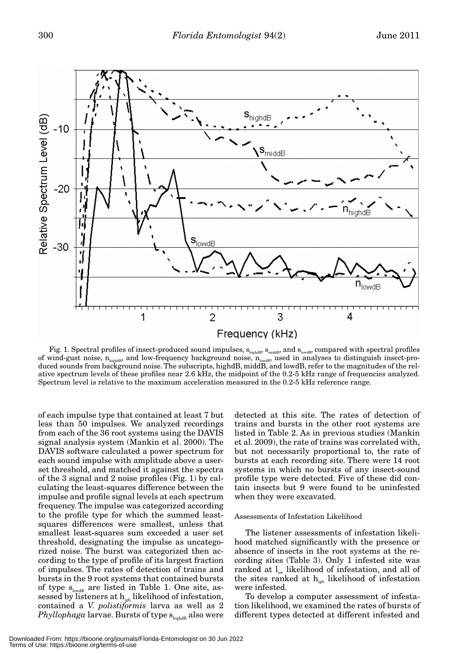

Fig. 1. Spectral profiles of insect-produced sound impulses,  $s_{\text{high}}$ ,  $s_{\text{middle}}$ , and  $s_{\text{lowdB}}$ , compared with spectral profiles of wind-gust noise,  $n_{\text{hidden}}$ , and low-frequency background noise,  $n_{\text{lowdB}}$ , used in analyses to distinguish insect-produced sounds from background noise. The subscripts, highdB, middB, and lowdB, refer to the magnitudes of the relative spectrum levels of these profiles near 2.6 kHz, the midpoint of the 0.2-5 kHz range of frequencies analyzed. Spectrum level is relative to the maximum acceleration measured in the 0.2-5 kHz reference range.

of each impulse type that contained at least 7 but less than 50 impulses. We analyzed recordings from each of the 36 root systems using the DAVIS signal analysis system (Mankin et al. 2000). The DAVIS software calculated a power spectrum for each sound impulse with amplitude above a userset threshold, and matched it against the spectra of the 3 signal and 2 noise profiles (Fig. 1) by calculating the least-squares difference between the impulse and profile signal levels at each spectrum frequency. The impulse was categorized according to the profile type for which the summed leastsquares differences were smallest, unless that smallest least-squares sum exceeded a user set threshold, designating the impulse as uncategorized noise. The burst was categorized then according to the type of profile of its largest fraction of impulses. The rates of detection of trains and bursts in the 9 root systems that contained bursts of type  $s_{\text{lowdB}}$  are listed in Table 1. One site, assessed by listeners at  $h_{ijk}$  likelihood of infestation, contained a *V. polistiformis* larva as well as 2 *Phyllophaga* larvae. Bursts of type s<sub>highdB</sub> also were detected at this site. The rates of detection of trains and bursts in the other root systems are listed in Table 2. As in previous studies (Mankin et al. 2009), the rate of trains was correlated with, but not necessarily proportional to, the rate of bursts at each recording site. There were 14 root systems in which no bursts of any insect-sound profile type were detected. Five of these did contain insects but 9 were found to be uninfested when they were excavated.

# Assessments of Infestation Likelihood

The listener assessments of infestation likelihood matched significantly with the presence or absence of insects in the root systems at the recording sites (Table 3). Only 1 infested site was ranked at  $l_{\infty}$  likelihood of infestation, and all of the sites ranked at  $h_{i,j}$  likelihood of infestation were infested.

To develop a computer assessment of infestation likelihood, we examined the rates of bursts of different types detected at different infested and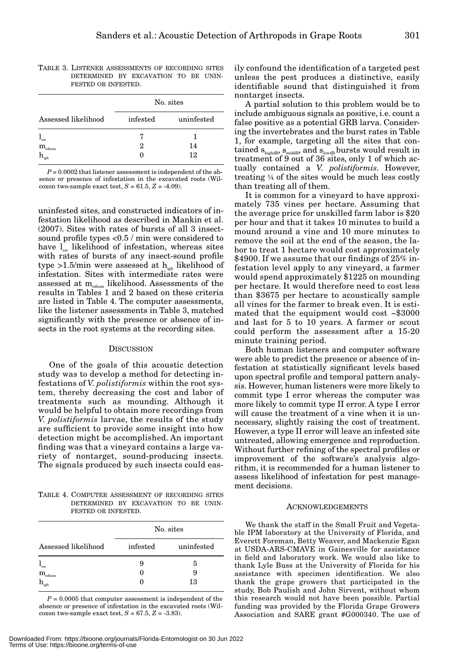|                                    | No. sites |            |  |
|------------------------------------|-----------|------------|--|
| Assessed likelihood                | infested  | uninfested |  |
| 'ow                                |           |            |  |
| $\mathbf{m}_{\text{\tiny{edium}}}$ | 2         | 14         |  |
| igh                                |           | 12         |  |

TABLE 3. LISTENER ASSESSMENTS OF RECORDING SITES DETERMINED BY EXCAVATION TO BE UNIN-FESTED OR INFESTED.

 $P = 0.0002$  that listener assessment is independent of the absence or presence of infestation in the excavated roots (Wilcoxon two-sample exact test,  $S = 61.5, Z = -4.09$ .

uninfested sites, and constructed indicators of infestation likelihood as described in Mankin et al. (2007). Sites with rates of bursts of all 3 insectsound profile types <0.5 / min were considered to have  $l_{\infty}$  likelihood of infestation, whereas sites with rates of bursts of any insect-sound profile type >1.5/min were assessed at  $h_{i,j}$  likelihood of infestation. Sites with intermediate rates were assessed at  $\mathrm{m}_{_{\mathrm{edium}}}$  likelihood. Assessments of the results in Tables 1 and 2 based on these criteria are listed in Table 4. The computer assessments, like the listener assessments in Table 3, matched significantly with the presence or absence of insects in the root systems at the recording sites.

#### **DISCUSSION**

One of the goals of this acoustic detection study was to develop a method for detecting infestations of *V. polistiformis* within the root system, thereby decreasing the cost and labor of treatments such as mounding. Although it would be helpful to obtain more recordings from *V. polistiformis* larvae, the results of the study are sufficient to provide some insight into how detection might be accomplished. An important finding was that a vineyard contains a large variety of nontarget, sound-producing insects. The signals produced by such insects could eas-

TABLE 4. COMPUTER ASSESSMENT OF RECORDING SITES DETERMINED BY EXCAVATION TO BE UNIN-FESTED OR INFESTED.

|                                      | No. sites |            |  |
|--------------------------------------|-----------|------------|--|
| Assessed likelihood                  | infested  | uninfested |  |
| ow                                   | 9         | 5          |  |
| $\mathbf{m}_{\textrm{\tiny{edium}}}$ | 0         | 9          |  |
|                                      |           | 13         |  |

 $P = 0.0005$  that computer assessment is independent of the absence or presence of infestation in the excavated roots (Wilcoxon two-sample exact test,  $S = 67.5, Z = -3.83$ .

ily confound the identification of a targeted pest unless the pest produces a distinctive, easily identifiable sound that distinguished it from nontarget insects.

A partial solution to this problem would be to include ambiguous signals as positive, i.e. count a false positive as a potential GRB larva. Considering the invertebrates and the burst rates in Table 1, for example, targeting all the sites that contained  $s_{\mbox{\tiny{highdB}}}, s_{\mbox{\tiny{middB}}},$  and  $s_{\mbox{\tiny{lowdB}}}$  bursts would result in treatment of 9 out of 36 sites, only 1 of which actually contained a *V. polistiformis*. However, treating ¼ of the sites would be much less costly than treating all of them.

It is common for a vineyard to have approximately 735 vines per hectare. Assuming that the average price for unskilled farm labor is \$20 per hour and that it takes 10 minutes to build a mound around a vine and 10 more minutes to remove the soil at the end of the season, the labor to treat 1 hectare would cost approximately \$4900. If we assume that our findings of 25% infestation level apply to any vineyard, a farmer would spend approximately \$1225 on mounding per hectare. It would therefore need to cost less than \$3675 per hectare to acoustically sample all vines for the farmer to break even. It is estimated that the equipment would cost ~\$3000 and last for 5 to 10 years. A farmer or scout could perform the assessment after a 15-20 minute training period.

Both human listeners and computer software were able to predict the presence or absence of infestation at statistically significant levels based upon spectral profile and temporal pattern analysis. However, human listeners were more likely to commit type I error whereas the computer was more likely to commit type II error. A type I error will cause the treatment of a vine when it is unnecessary, slightly raising the cost of treatment. However, a type II error will leave an infested site untreated, allowing emergence and reproduction. Without further refining of the spectral profiles or improvement of the software's analysis algorithm, it is recommended for a human listener to assess likelihood of infestation for pest management decisions.

#### ACKNOWLEDGEMENTS

We thank the staff in the Small Fruit and Vegetable IPM laboratory at the University of Florida, and Everett Foreman, Betty Weaver, and Mackenzie Egan at USDA-ARS-CMAVE in Gainesville for assistance in field and laboratory work. We would also like to thank Lyle Buss at the University of Florida for his assistance with specimen identification. We also thank the grape growers that participated in the study, Bob Paulish and John Sirvent, without whom this research would not have been possible. Partial funding was provided by the Florida Grape Growers Association and SARE grant #G000340. The use of